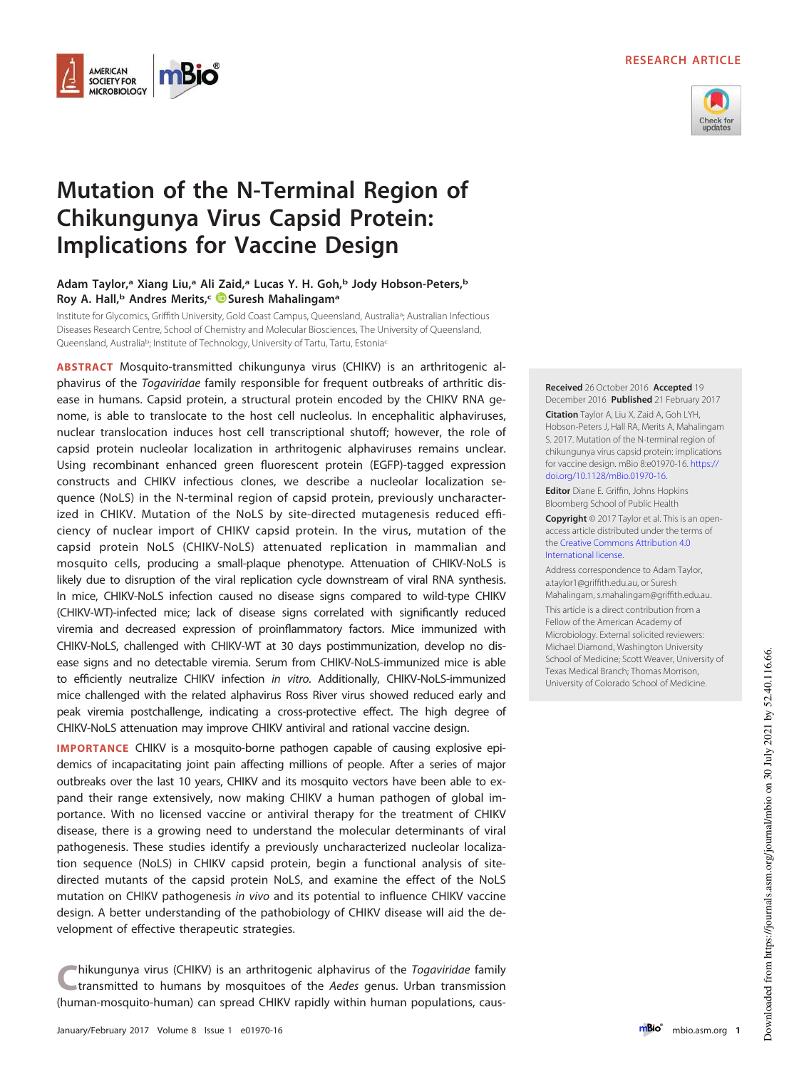# **RESEARCH ARTICLE**



# **Mutation of the N-Terminal Region of Chikungunya Virus Capsid Protein: Implications for Vaccine Design**

**AMERICAN SOCIETY FOR MICROBIOLOGY** 

## **Adam Taylor,<sup>a</sup> Xiang Liu,<sup>a</sup> Ali Zaid,<sup>a</sup> Lucas Y. H. Goh,<sup>b</sup> Jody Hobson-Peters,<sup>b</sup> Roy A. Hall,<sup>b</sup> Andres Merits,<sup>c</sup> Suresh Mahalingam<sup>a</sup>**

Institute for Glycomics, Griffith University, Gold Coast Campus, Queensland, Australia<sup>a</sup> ; Australian Infectious Diseases Research Centre, School of Chemistry and Molecular Biosciences, The University of Queensland, Queensland, Australia<sup>b</sup>; Institute of Technology, University of Tartu, Tartu, Estonia<sup>c</sup>

**ABSTRACT** Mosquito-transmitted chikungunya virus (CHIKV) is an arthritogenic alphavirus of the Togaviridae family responsible for frequent outbreaks of arthritic disease in humans. Capsid protein, a structural protein encoded by the CHIKV RNA genome, is able to translocate to the host cell nucleolus. In encephalitic alphaviruses, nuclear translocation induces host cell transcriptional shutoff; however, the role of capsid protein nucleolar localization in arthritogenic alphaviruses remains unclear. Using recombinant enhanced green fluorescent protein (EGFP)-tagged expression constructs and CHIKV infectious clones, we describe a nucleolar localization sequence (NoLS) in the N-terminal region of capsid protein, previously uncharacterized in CHIKV. Mutation of the NoLS by site-directed mutagenesis reduced efficiency of nuclear import of CHIKV capsid protein. In the virus, mutation of the capsid protein NoLS (CHIKV-NoLS) attenuated replication in mammalian and mosquito cells, producing a small-plaque phenotype. Attenuation of CHIKV-NoLS is likely due to disruption of the viral replication cycle downstream of viral RNA synthesis. In mice, CHIKV-NoLS infection caused no disease signs compared to wild-type CHIKV (CHIKV-WT)-infected mice; lack of disease signs correlated with significantly reduced viremia and decreased expression of proinflammatory factors. Mice immunized with CHIKV-NoLS, challenged with CHIKV-WT at 30 days postimmunization, develop no disease signs and no detectable viremia. Serum from CHIKV-NoLS-immunized mice is able to efficiently neutralize CHIKV infection in vitro. Additionally, CHIKV-NoLS-immunized mice challenged with the related alphavirus Ross River virus showed reduced early and peak viremia postchallenge, indicating a cross-protective effect. The high degree of CHIKV-NoLS attenuation may improve CHIKV antiviral and rational vaccine design.

**IMPORTANCE** CHIKV is a mosquito-borne pathogen capable of causing explosive epidemics of incapacitating joint pain affecting millions of people. After a series of major outbreaks over the last 10 years, CHIKV and its mosquito vectors have been able to expand their range extensively, now making CHIKV a human pathogen of global importance. With no licensed vaccine or antiviral therapy for the treatment of CHIKV disease, there is a growing need to understand the molecular determinants of viral pathogenesis. These studies identify a previously uncharacterized nucleolar localization sequence (NoLS) in CHIKV capsid protein, begin a functional analysis of sitedirected mutants of the capsid protein NoLS, and examine the effect of the NoLS mutation on CHIKV pathogenesis in vivo and its potential to influence CHIKV vaccine design. A better understanding of the pathobiology of CHIKV disease will aid the development of effective therapeutic strategies.

**C**hikungunya virus (CHIKV) is an arthritogenic alphavirus of the *Togaviridae* family transmitted to humans by mosquitoes of the *Aedes* genus. Urban transmission (human-mosquito-human) can spread CHIKV rapidly within hum hikungunya virus (CHIKV) is an arthritogenic alphavirus of the Togaviridae family transmitted to humans by mosquitoes of the Aedes genus. Urban transmission

**Citation** Taylor A, Liu X, Zaid A, Goh LYH, Hobson-Peters J, Hall RA, Merits A, Mahalingam S. 2017. Mutation of the N-terminal region of chikungunya virus capsid protein: implications for vaccine design. mBio 8:e01970-16. https:// doi.org/10.1128/mBio.01970-16. **Editor** Diane E. Griffin, Johns Hopkins Bloomberg School of Public Health

**Received** 26 October 2016 **Accepted** 19 December 2016 **Published** 21 February 2017

**Copyright** © 2017 Taylor et al. This is an openaccess article distributed under the terms of the Creative Commons Attribution 4.0 International license.

Address correspondence to Adam Taylor, a.taylor1@griffith.edu.au, or Suresh Mahalingam, s.mahalingam@griffith.edu.au.

This article is a direct contribution from a Fellow of the American Academy of Microbiology. External solicited reviewers: Michael Diamond, Washington University School of Medicine; Scott Weaver, University of Texas Medical Branch; Thomas Morrison, University of Colorado School of Medicine.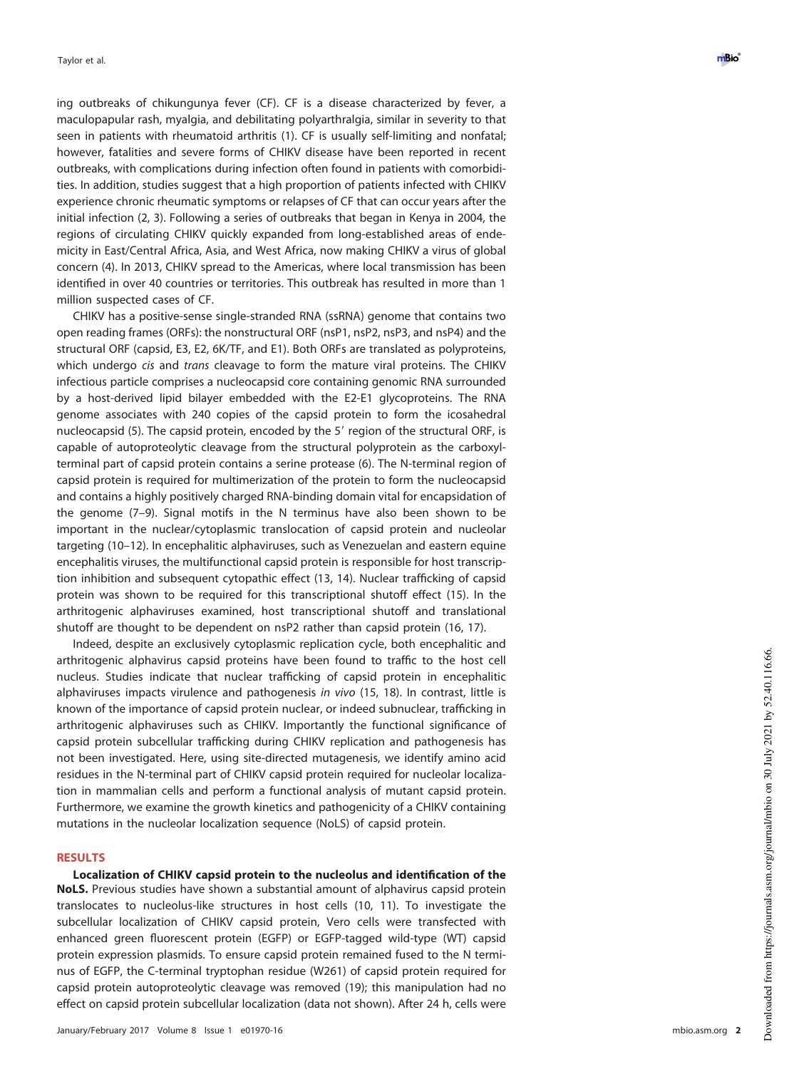ing outbreaks of chikungunya fever (CF). CF is a disease characterized by fever, a maculopapular rash, myalgia, and debilitating polyarthralgia, similar in severity to that seen in patients with rheumatoid arthritis [\(1\)](#page-12-0). CF is usually self-limiting and nonfatal; however, fatalities and severe forms of CHIKV disease have been reported in recent outbreaks, with complications during infection often found in patients with comorbidities. In addition, studies suggest that a high proportion of patients infected with CHIKV experience chronic rheumatic symptoms or relapses of CF that can occur years after the initial infection [\(2,](#page-12-1) [3\)](#page-12-2). Following a series of outbreaks that began in Kenya in 2004, the regions of circulating CHIKV quickly expanded from long-established areas of endemicity in East/Central Africa, Asia, and West Africa, now making CHIKV a virus of global concern [\(4\)](#page-12-3). In 2013, CHIKV spread to the Americas, where local transmission has been identified in over 40 countries or territories. This outbreak has resulted in more than 1 million suspected cases of CF.

CHIKV has a positive-sense single-stranded RNA (ssRNA) genome that contains two open reading frames (ORFs): the nonstructural ORF (nsP1, nsP2, nsP3, and nsP4) and the structural ORF (capsid, E3, E2, 6K/TF, and E1). Both ORFs are translated as polyproteins, which undergo *cis* and *trans* cleavage to form the mature viral proteins. The CHIKV infectious particle comprises a nucleocapsid core containing genomic RNA surrounded by a host-derived lipid bilayer embedded with the E2-E1 glycoproteins. The RNA genome associates with 240 copies of the capsid protein to form the icosahedral nucleocapsid [\(5\)](#page-12-4). The capsid protein, encoded by the 5' region of the structural ORF, is capable of autoproteolytic cleavage from the structural polyprotein as the carboxylterminal part of capsid protein contains a serine protease [\(6\)](#page-12-5). The N-terminal region of capsid protein is required for multimerization of the protein to form the nucleocapsid and contains a highly positively charged RNA-binding domain vital for encapsidation of the genome [\(7](#page-12-6)[–](#page-12-7)[9\)](#page-12-8). Signal motifs in the N terminus have also been shown to be important in the nuclear/cytoplasmic translocation of capsid protein and nucleolar targeting [\(10](#page-13-0)[–](#page-13-1)[12\)](#page-13-2). In encephalitic alphaviruses, such as Venezuelan and eastern equine encephalitis viruses, the multifunctional capsid protein is responsible for host transcription inhibition and subsequent cytopathic effect [\(13,](#page-13-3) [14\)](#page-13-4). Nuclear trafficking of capsid protein was shown to be required for this transcriptional shutoff effect [\(15\)](#page-13-5). In the arthritogenic alphaviruses examined, host transcriptional shutoff and translational shutoff are thought to be dependent on nsP2 rather than capsid protein [\(16,](#page-13-6) [17\)](#page-13-7).

Indeed, despite an exclusively cytoplasmic replication cycle, both encephalitic and arthritogenic alphavirus capsid proteins have been found to traffic to the host cell nucleus. Studies indicate that nuclear trafficking of capsid protein in encephalitic alphaviruses impacts virulence and pathogenesis in vivo [\(15,](#page-13-5) [18\)](#page-13-8). In contrast, little is known of the importance of capsid protein nuclear, or indeed subnuclear, trafficking in arthritogenic alphaviruses such as CHIKV. Importantly the functional significance of capsid protein subcellular trafficking during CHIKV replication and pathogenesis has not been investigated. Here, using site-directed mutagenesis, we identify amino acid residues in the N-terminal part of CHIKV capsid protein required for nucleolar localization in mammalian cells and perform a functional analysis of mutant capsid protein. Furthermore, we examine the growth kinetics and pathogenicity of a CHIKV containing mutations in the nucleolar localization sequence (NoLS) of capsid protein.

#### **RESULTS**

**Localization of CHIKV capsid protein to the nucleolus and identification of the NoLS.** Previous studies have shown a substantial amount of alphavirus capsid protein translocates to nucleolus-like structures in host cells [\(10,](#page-13-0) [11\)](#page-13-1). To investigate the subcellular localization of CHIKV capsid protein, Vero cells were transfected with enhanced green fluorescent protein (EGFP) or EGFP-tagged wild-type (WT) capsid protein expression plasmids. To ensure capsid protein remained fused to the N terminus of EGFP, the C-terminal tryptophan residue (W261) of capsid protein required for capsid protein autoproteolytic cleavage was removed [\(19\)](#page-13-9); this manipulation had no effect on capsid protein subcellular localization (data not shown). After 24 h, cells were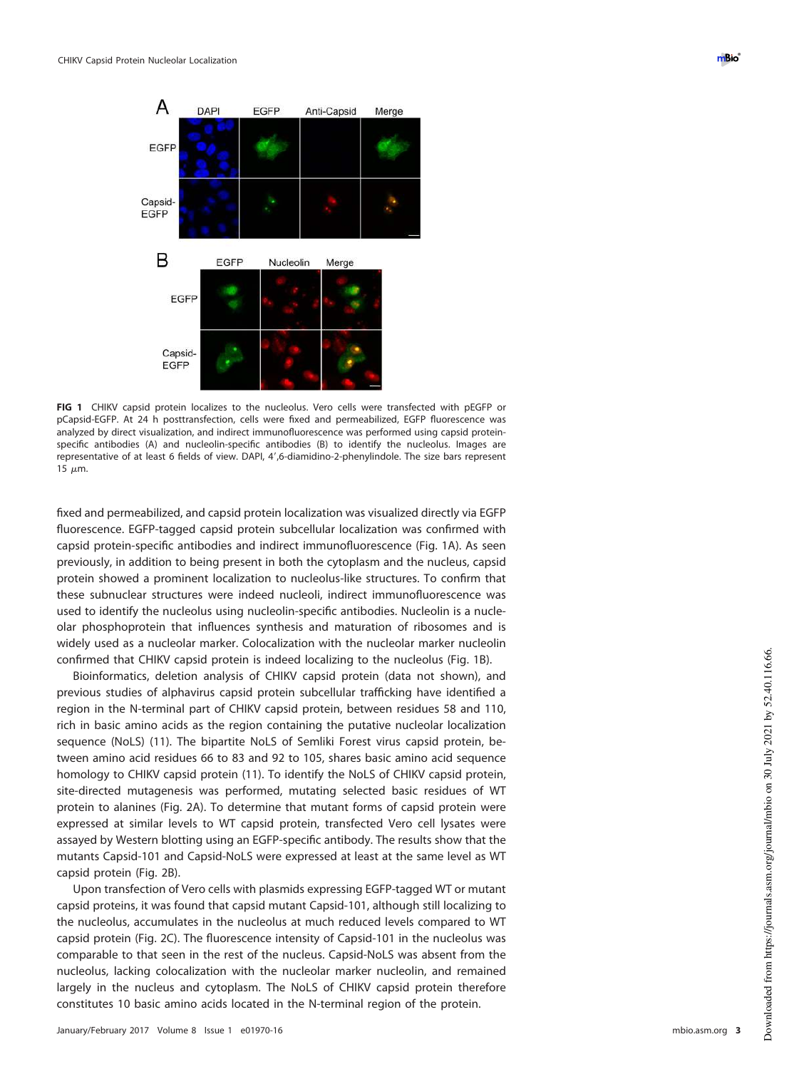

<span id="page-2-0"></span>**FIG 1** CHIKV capsid protein localizes to the nucleolus. Vero cells were transfected with pEGFP or pCapsid-EGFP. At 24 h posttransfection, cells were fixed and permeabilized, EGFP fluorescence was analyzed by direct visualization, and indirect immunofluorescence was performed using capsid proteinspecific antibodies (A) and nucleolin-specific antibodies (B) to identify the nucleolus. Images are representative of at least 6 fields of view. DAPI, 4',6-diamidino-2-phenylindole. The size bars represent 15  $\mu$ m.

fixed and permeabilized, and capsid protein localization was visualized directly via EGFP fluorescence. EGFP-tagged capsid protein subcellular localization was confirmed with capsid protein-specific antibodies and indirect immunofluorescence [\(Fig. 1A\)](#page-2-0). As seen previously, in addition to being present in both the cytoplasm and the nucleus, capsid protein showed a prominent localization to nucleolus-like structures. To confirm that these subnuclear structures were indeed nucleoli, indirect immunofluorescence was used to identify the nucleolus using nucleolin-specific antibodies. Nucleolin is a nucleolar phosphoprotein that influences synthesis and maturation of ribosomes and is widely used as a nucleolar marker. Colocalization with the nucleolar marker nucleolin confirmed that CHIKV capsid protein is indeed localizing to the nucleolus [\(Fig. 1B\)](#page-2-0).

Bioinformatics, deletion analysis of CHIKV capsid protein (data not shown), and previous studies of alphavirus capsid protein subcellular trafficking have identified a region in the N-terminal part of CHIKV capsid protein, between residues 58 and 110, rich in basic amino acids as the region containing the putative nucleolar localization sequence (NoLS) [\(11\)](#page-13-1). The bipartite NoLS of Semliki Forest virus capsid protein, between amino acid residues 66 to 83 and 92 to 105, shares basic amino acid sequence homology to CHIKV capsid protein [\(11\)](#page-13-1). To identify the NoLS of CHIKV capsid protein, site-directed mutagenesis was performed, mutating selected basic residues of WT protein to alanines [\(Fig. 2A\)](#page-3-0). To determine that mutant forms of capsid protein were expressed at similar levels to WT capsid protein, transfected Vero cell lysates were assayed by Western blotting using an EGFP-specific antibody. The results show that the mutants Capsid-101 and Capsid-NoLS were expressed at least at the same level as WT capsid protein [\(Fig. 2B\)](#page-3-0).

Upon transfection of Vero cells with plasmids expressing EGFP-tagged WT or mutant capsid proteins, it was found that capsid mutant Capsid-101, although still localizing to the nucleolus, accumulates in the nucleolus at much reduced levels compared to WT capsid protein [\(Fig. 2C\)](#page-3-0). The fluorescence intensity of Capsid-101 in the nucleolus was comparable to that seen in the rest of the nucleus. Capsid-NoLS was absent from the nucleolus, lacking colocalization with the nucleolar marker nucleolin, and remained largely in the nucleus and cytoplasm. The NoLS of CHIKV capsid protein therefore constitutes 10 basic amino acids located in the N-terminal region of the protein.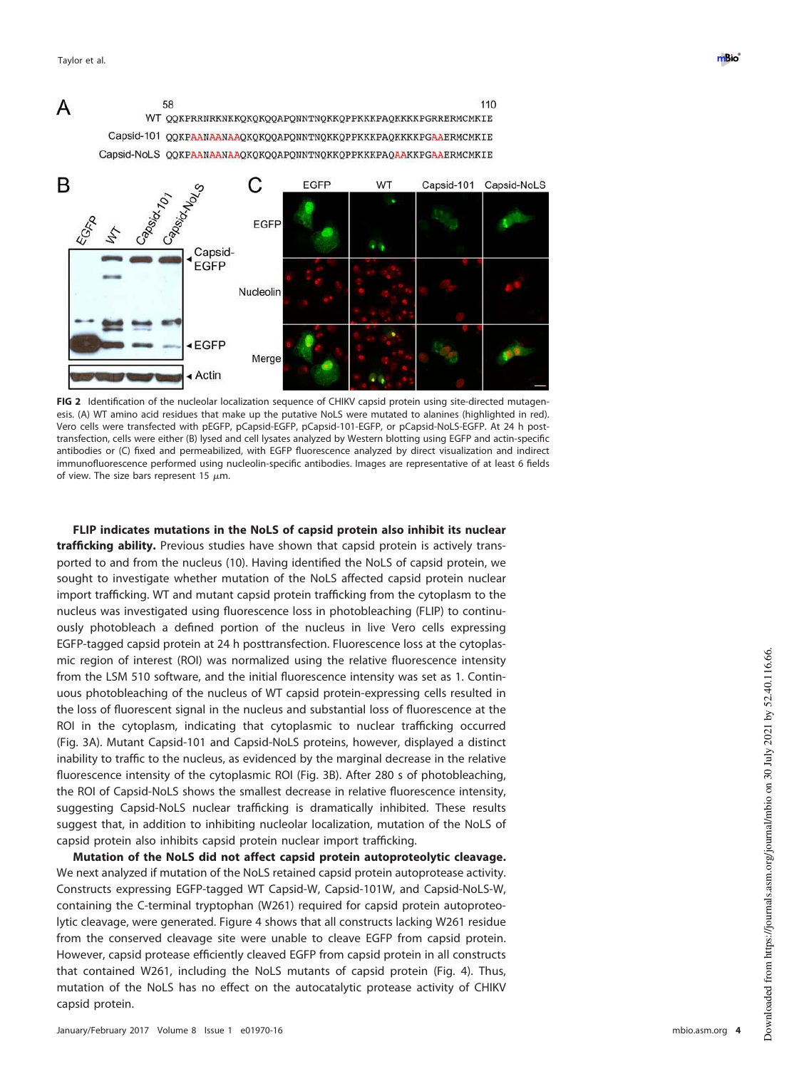



<span id="page-3-0"></span>**FIG 2** Identification of the nucleolar localization sequence of CHIKV capsid protein using site-directed mutagenesis. (A) WT amino acid residues that make up the putative NoLS were mutated to alanines (highlighted in red). Vero cells were transfected with pEGFP, pCapsid-EGFP, pCapsid-101-EGFP, or pCapsid-NoLS-EGFP. At 24 h posttransfection, cells were either (B) lysed and cell lysates analyzed by Western blotting using EGFP and actin-specific antibodies or (C) fixed and permeabilized, with EGFP fluorescence analyzed by direct visualization and indirect immunofluorescence performed using nucleolin-specific antibodies. Images are representative of at least 6 fields of view. The size bars represent 15  $\mu$ m.

**FLIP indicates mutations in the NoLS of capsid protein also inhibit its nuclear trafficking ability.** Previous studies have shown that capsid protein is actively transported to and from the nucleus [\(10\)](#page-13-0). Having identified the NoLS of capsid protein, we sought to investigate whether mutation of the NoLS affected capsid protein nuclear import trafficking. WT and mutant capsid protein trafficking from the cytoplasm to the nucleus was investigated using fluorescence loss in photobleaching (FLIP) to continuously photobleach a defined portion of the nucleus in live Vero cells expressing EGFP-tagged capsid protein at 24 h posttransfection. Fluorescence loss at the cytoplasmic region of interest (ROI) was normalized using the relative fluorescence intensity from the LSM 510 software, and the initial fluorescence intensity was set as 1. Continuous photobleaching of the nucleus of WT capsid protein-expressing cells resulted in the loss of fluorescent signal in the nucleus and substantial loss of fluorescence at the ROI in the cytoplasm, indicating that cytoplasmic to nuclear trafficking occurred [\(Fig. 3A\)](#page-4-0). Mutant Capsid-101 and Capsid-NoLS proteins, however, displayed a distinct inability to traffic to the nucleus, as evidenced by the marginal decrease in the relative fluorescence intensity of the cytoplasmic ROI [\(Fig. 3B\)](#page-4-0). After 280 s of photobleaching, the ROI of Capsid-NoLS shows the smallest decrease in relative fluorescence intensity, suggesting Capsid-NoLS nuclear trafficking is dramatically inhibited. These results suggest that, in addition to inhibiting nucleolar localization, mutation of the NoLS of capsid protein also inhibits capsid protein nuclear import trafficking.

**Mutation of the NoLS did not affect capsid protein autoproteolytic cleavage.** We next analyzed if mutation of the NoLS retained capsid protein autoprotease activity. Constructs expressing EGFP-tagged WT Capsid-W, Capsid-101W, and Capsid-NoLS-W, containing the C-terminal tryptophan (W261) required for capsid protein autoproteolytic cleavage, were generated. [Figure 4](#page-4-1) shows that all constructs lacking W261 residue from the conserved cleavage site were unable to cleave EGFP from capsid protein. However, capsid protease efficiently cleaved EGFP from capsid protein in all constructs that contained W261, including the NoLS mutants of capsid protein [\(Fig. 4\)](#page-4-1). Thus, mutation of the NoLS has no effect on the autocatalytic protease activity of CHIKV capsid protein.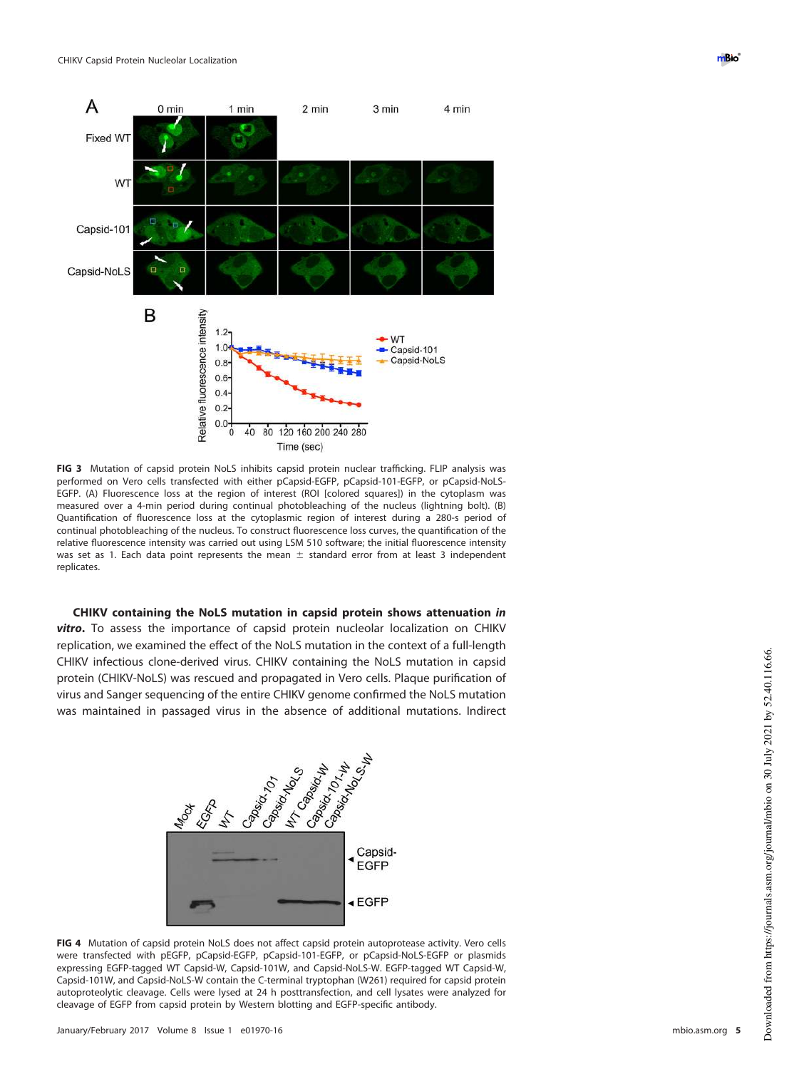

<span id="page-4-0"></span>**FIG 3** Mutation of capsid protein NoLS inhibits capsid protein nuclear trafficking. FLIP analysis was performed on Vero cells transfected with either pCapsid-EGFP, pCapsid-101-EGFP, or pCapsid-NoLS-EGFP. (A) Fluorescence loss at the region of interest (ROI [colored squares]) in the cytoplasm was measured over a 4-min period during continual photobleaching of the nucleus (lightning bolt). (B) Quantification of fluorescence loss at the cytoplasmic region of interest during a 280-s period of continual photobleaching of the nucleus. To construct fluorescence loss curves, the quantification of the relative fluorescence intensity was carried out using LSM 510 software; the initial fluorescence intensity was set as 1. Each data point represents the mean  $\pm$  standard error from at least 3 independent replicates.

**CHIKV containing the NoLS mutation in capsid protein shows attenuation in vitro.** To assess the importance of capsid protein nucleolar localization on CHIKV replication, we examined the effect of the NoLS mutation in the context of a full-length CHIKV infectious clone-derived virus. CHIKV containing the NoLS mutation in capsid protein (CHIKV-NoLS) was rescued and propagated in Vero cells. Plaque purification of virus and Sanger sequencing of the entire CHIKV genome confirmed the NoLS mutation was maintained in passaged virus in the absence of additional mutations. Indirect

<span id="page-4-1"></span>

**FIG 4** Mutation of capsid protein NoLS does not affect capsid protein autoprotease activity. Vero cells were transfected with pEGFP, pCapsid-EGFP, pCapsid-101-EGFP, or pCapsid-NoLS-EGFP or plasmids expressing EGFP-tagged WT Capsid-W, Capsid-101W, and Capsid-NoLS-W. EGFP-tagged WT Capsid-W, Capsid-101W, and Capsid-NoLS-W contain the C-terminal tryptophan (W261) required for capsid protein autoproteolytic cleavage. Cells were lysed at 24 h posttransfection, and cell lysates were analyzed for cleavage of EGFP from capsid protein by Western blotting and EGFP-specific antibody.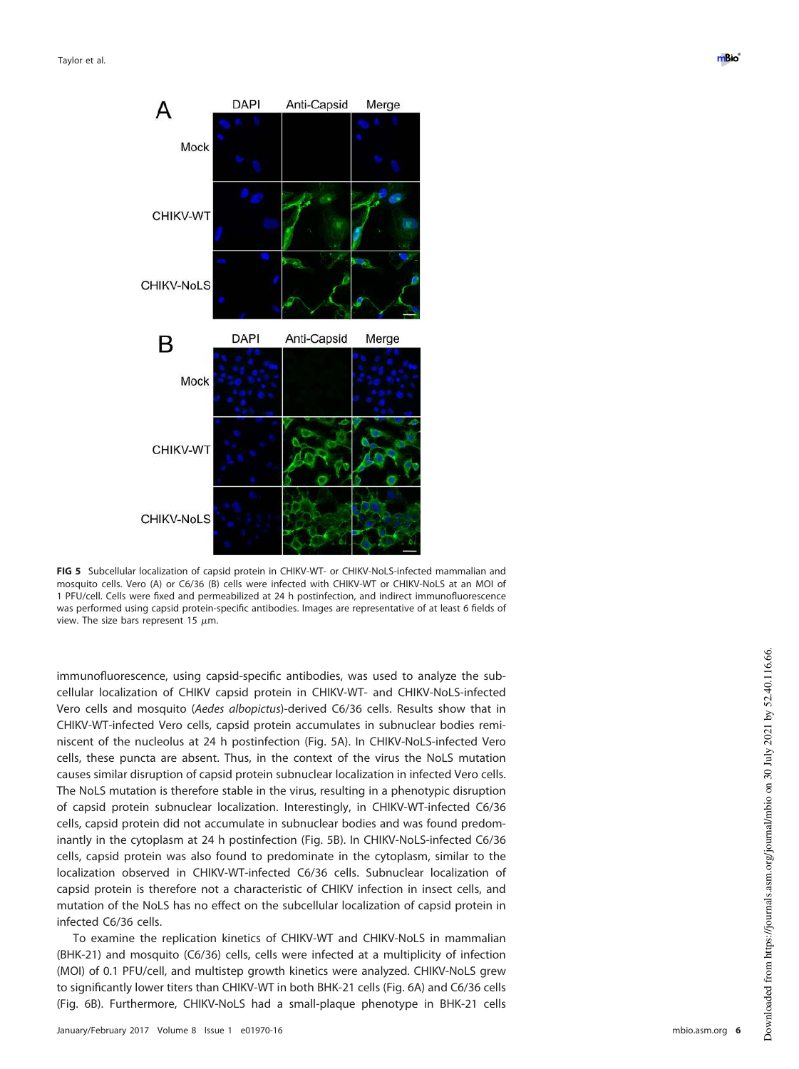

<span id="page-5-0"></span>**FIG 5** Subcellular localization of capsid protein in CHIKV-WT- or CHIKV-NoLS-infected mammalian and mosquito cells. Vero (A) or C6/36 (B) cells were infected with CHIKV-WT or CHIKV-NoLS at an MOI of 1 PFU/cell. Cells were fixed and permeabilized at 24 h postinfection, and indirect immunofluorescence was performed using capsid protein-specific antibodies. Images are representative of at least 6 fields of view. The size bars represent 15  $\mu$ m.

immunofluorescence, using capsid-specific antibodies, was used to analyze the subcellular localization of CHIKV capsid protein in CHIKV-WT- and CHIKV-NoLS-infected Vero cells and mosquito (Aedes albopictus)-derived C6/36 cells. Results show that in CHIKV-WT-infected Vero cells, capsid protein accumulates in subnuclear bodies reminiscent of the nucleolus at 24 h postinfection [\(Fig. 5A\)](#page-5-0). In CHIKV-NoLS-infected Vero cells, these puncta are absent. Thus, in the context of the virus the NoLS mutation causes similar disruption of capsid protein subnuclear localization in infected Vero cells. The NoLS mutation is therefore stable in the virus, resulting in a phenotypic disruption of capsid protein subnuclear localization. Interestingly, in CHIKV-WT-infected C6/36 cells, capsid protein did not accumulate in subnuclear bodies and was found predominantly in the cytoplasm at 24 h postinfection [\(Fig. 5B\)](#page-5-0). In CHIKV-NoLS-infected C6/36 cells, capsid protein was also found to predominate in the cytoplasm, similar to the localization observed in CHIKV-WT-infected C6/36 cells. Subnuclear localization of capsid protein is therefore not a characteristic of CHIKV infection in insect cells, and mutation of the NoLS has no effect on the subcellular localization of capsid protein in infected C6/36 cells.

To examine the replication kinetics of CHIKV-WT and CHIKV-NoLS in mammalian (BHK-21) and mosquito (C6/36) cells, cells were infected at a multiplicity of infection (MOI) of 0.1 PFU/cell, and multistep growth kinetics were analyzed. CHIKV-NoLS grew to significantly lower titers than CHIKV-WT in both BHK-21 cells [\(Fig. 6A\)](#page-6-0) and C6/36 cells [\(Fig. 6B\)](#page-6-0). Furthermore, CHIKV-NoLS had a small-plaque phenotype in BHK-21 cells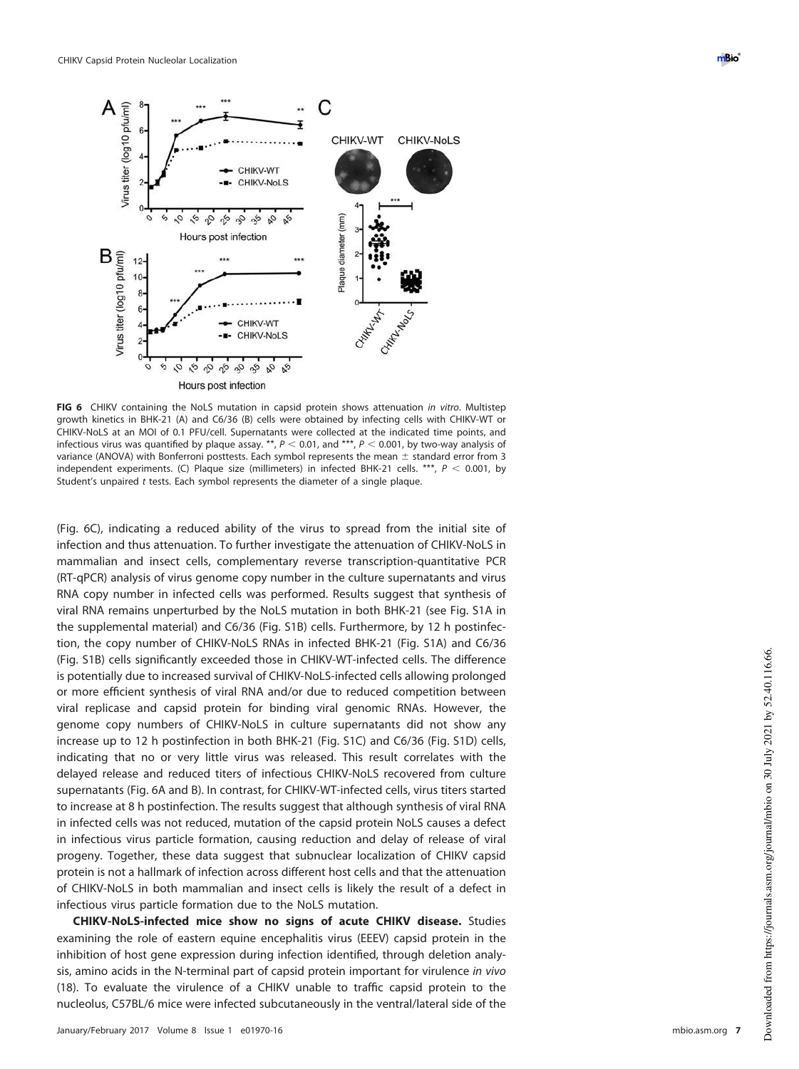

<span id="page-6-0"></span>**FIG 6** CHIKV containing the NoLS mutation in capsid protein shows attenuation in vitro. Multistep growth kinetics in BHK-21 (A) and C6/36 (B) cells were obtained by infecting cells with CHIKV-WT or CHIKV-NoLS at an MOI of 0.1 PFU/cell. Supernatants were collected at the indicated time points, and infectious virus was quantified by plaque assay. \*\*,  $P < 0.01$ , and \*\*\*,  $P < 0.001$ , by two-way analysis of variance (ANOVA) with Bonferroni posttests. Each symbol represents the mean  $\pm$  standard error from 3 independent experiments. (C) Plaque size (millimeters) in infected BHK-21 cells. \*\*\*,  $P < 0.001$ , by Student's unpaired t tests. Each symbol represents the diameter of a single plaque.

[\(Fig. 6C\)](#page-6-0), indicating a reduced ability of the virus to spread from the initial site of infection and thus attenuation. To further investigate the attenuation of CHIKV-NoLS in mammalian and insect cells, complementary reverse transcription-quantitative PCR (RT-qPCR) analysis of virus genome copy number in the culture supernatants and virus RNA copy number in infected cells was performed. Results suggest that synthesis of viral RNA remains unperturbed by the NoLS mutation in both BHK-21 (see Fig. S1A in the supplemental material) and C6/36 (Fig. S1B) cells. Furthermore, by 12 h postinfection, the copy number of CHIKV-NoLS RNAs in infected BHK-21 (Fig. S1A) and C6/36 (Fig. S1B) cells significantly exceeded those in CHIKV-WT-infected cells. The difference is potentially due to increased survival of CHIKV-NoLS-infected cells allowing prolonged or more efficient synthesis of viral RNA and/or due to reduced competition between viral replicase and capsid protein for binding viral genomic RNAs. However, the genome copy numbers of CHIKV-NoLS in culture supernatants did not show any increase up to 12 h postinfection in both BHK-21 (Fig. S1C) and C6/36 (Fig. S1D) cells, indicating that no or very little virus was released. This result correlates with the delayed release and reduced titers of infectious CHIKV-NoLS recovered from culture supernatants [\(Fig. 6A](#page-6-0) and [B\)](#page-6-0). In contrast, for CHIKV-WT-infected cells, virus titers started to increase at 8 h postinfection. The results suggest that although synthesis of viral RNA in infected cells was not reduced, mutation of the capsid protein NoLS causes a defect in infectious virus particle formation, causing reduction and delay of release of viral progeny. Together, these data suggest that subnuclear localization of CHIKV capsid protein is not a hallmark of infection across different host cells and that the attenuation of CHIKV-NoLS in both mammalian and insect cells is likely the result of a defect in infectious virus particle formation due to the NoLS mutation.

**CHIKV-NoLS-infected mice show no signs of acute CHIKV disease.** Studies examining the role of eastern equine encephalitis virus (EEEV) capsid protein in the inhibition of host gene expression during infection identified, through deletion analysis, amino acids in the N-terminal part of capsid protein important for virulence in vivo [\(18\)](#page-13-8). To evaluate the virulence of a CHIKV unable to traffic capsid protein to the nucleolus, C57BL/6 mice were infected subcutaneously in the ventral/lateral side of the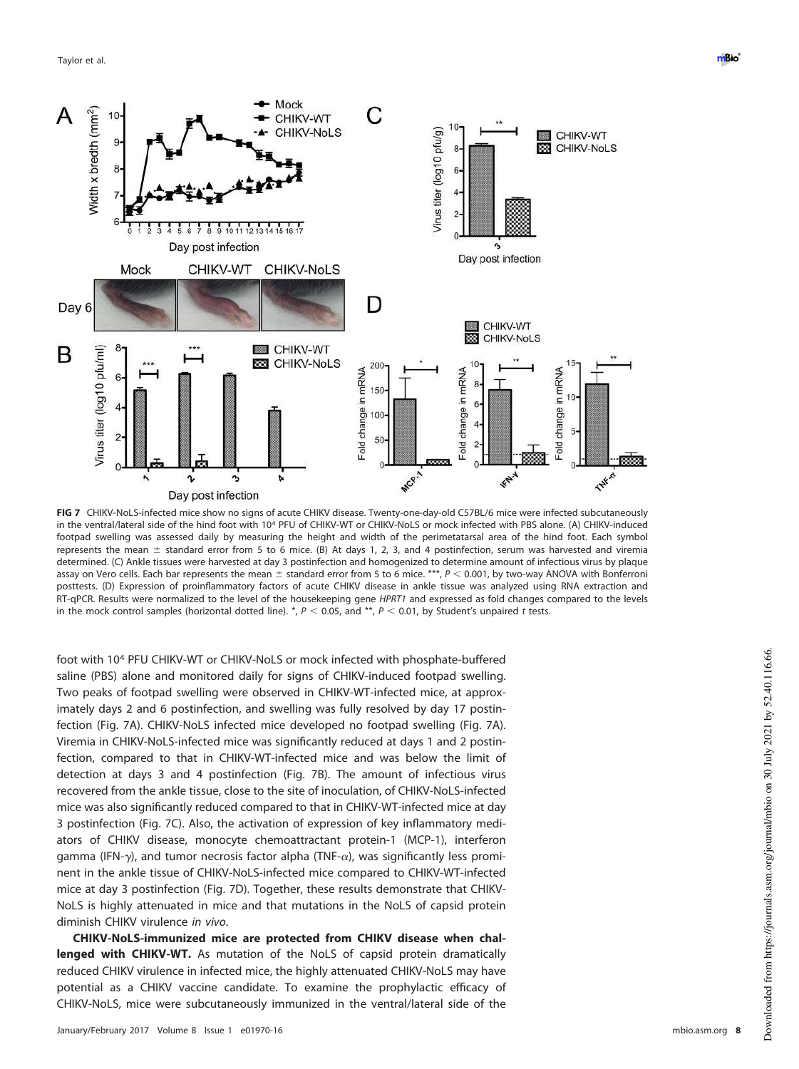

<span id="page-7-0"></span>**FIG 7** CHIKV-NoLS-infected mice show no signs of acute CHIKV disease. Twenty-one-day-old C57BL/6 mice were infected subcutaneously in the ventral/lateral side of the hind foot with 10<sup>4</sup> PFU of CHIKV-WT or CHIKV-NoLS or mock infected with PBS alone. (A) CHIKV-induced footpad swelling was assessed daily by measuring the height and width of the perimetatarsal area of the hind foot. Each symbol represents the mean  $\pm$  standard error from 5 to 6 mice. (B) At days 1, 2, 3, and 4 postinfection, serum was harvested and viremia determined. (C) Ankle tissues were harvested at day 3 postinfection and homogenized to determine amount of infectious virus by plaque assay on Vero cells. Each bar represents the mean  $\pm$  standard error from 5 to 6 mice. \*\*\*,  $P < 0.001$ , by two-way ANOVA with Bonferroni posttests. (D) Expression of proinflammatory factors of acute CHIKV disease in ankle tissue was analyzed using RNA extraction and RT-qPCR. Results were normalized to the level of the housekeeping gene HPRT1 and expressed as fold changes compared to the levels in the mock control samples (horizontal dotted line). \*,  $P < 0.05$ , and \*\*,  $P < 0.01$ , by Student's unpaired t tests.

foot with 10<sup>4</sup> PFU CHIKV-WT or CHIKV-NoLS or mock infected with phosphate-buffered saline (PBS) alone and monitored daily for signs of CHIKV-induced footpad swelling. Two peaks of footpad swelling were observed in CHIKV-WT-infected mice, at approximately days 2 and 6 postinfection, and swelling was fully resolved by day 17 postinfection [\(Fig. 7A\)](#page-7-0). CHIKV-NoLS infected mice developed no footpad swelling [\(Fig. 7A\)](#page-7-0). Viremia in CHIKV-NoLS-infected mice was significantly reduced at days 1 and 2 postinfection, compared to that in CHIKV-WT-infected mice and was below the limit of detection at days 3 and 4 postinfection [\(Fig. 7B\)](#page-7-0). The amount of infectious virus recovered from the ankle tissue, close to the site of inoculation, of CHIKV-NoLS-infected mice was also significantly reduced compared to that in CHIKV-WT-infected mice at day 3 postinfection [\(Fig. 7C\)](#page-7-0). Also, the activation of expression of key inflammatory mediators of CHIKV disease, monocyte chemoattractant protein-1 (MCP-1), interferon gamma (IFN- $\gamma$ ), and tumor necrosis factor alpha (TNF- $\alpha$ ), was significantly less prominent in the ankle tissue of CHIKV-NoLS-infected mice compared to CHIKV-WT-infected mice at day 3 postinfection [\(Fig. 7D\)](#page-7-0). Together, these results demonstrate that CHIKV-NoLS is highly attenuated in mice and that mutations in the NoLS of capsid protein diminish CHIKV virulence in vivo.

**CHIKV-NoLS-immunized mice are protected from CHIKV disease when challenged with CHIKV-WT.** As mutation of the NoLS of capsid protein dramatically reduced CHIKV virulence in infected mice, the highly attenuated CHIKV-NoLS may have potential as a CHIKV vaccine candidate. To examine the prophylactic efficacy of CHIKV-NoLS, mice were subcutaneously immunized in the ventral/lateral side of the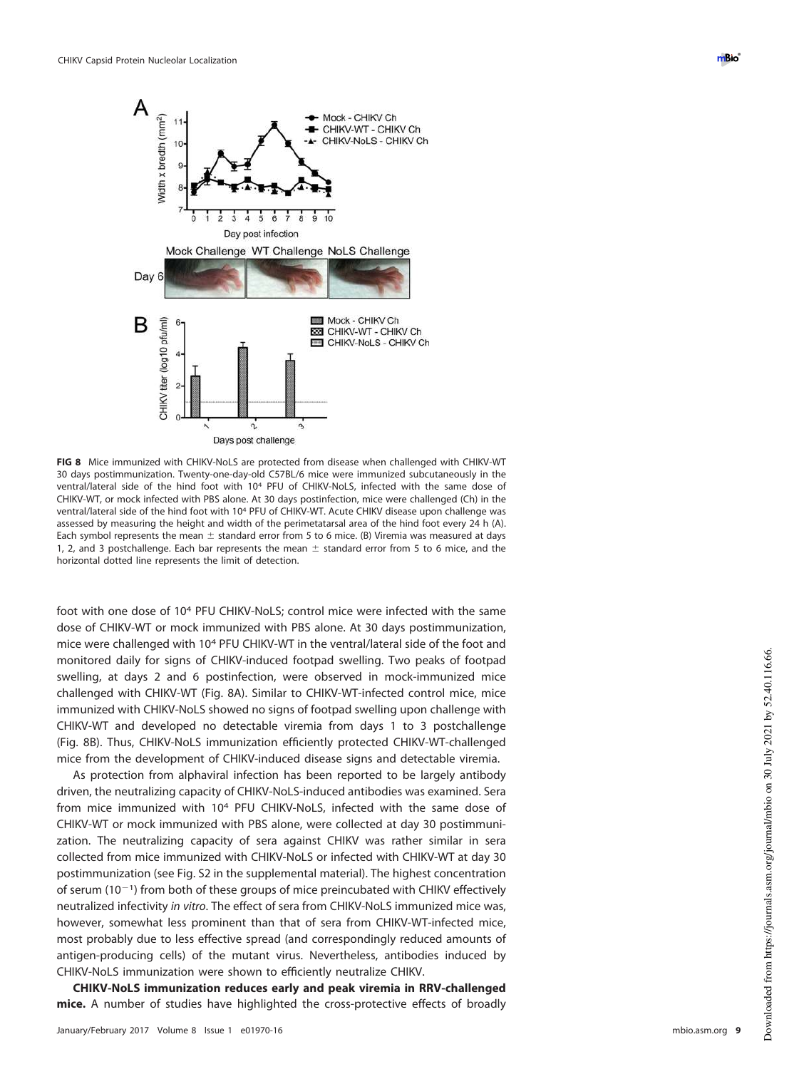

<span id="page-8-0"></span>**FIG 8** Mice immunized with CHIKV-NoLS are protected from disease when challenged with CHIKV-WT 30 days postimmunization. Twenty-one-day-old C57BL/6 mice were immunized subcutaneously in the ventral/lateral side of the hind foot with 10<sup>4</sup> PFU of CHIKV-NoLS, infected with the same dose of CHIKV-WT, or mock infected with PBS alone. At 30 days postinfection, mice were challenged (Ch) in the ventral/lateral side of the hind foot with 10<sup>4</sup> PFU of CHIKV-WT. Acute CHIKV disease upon challenge was assessed by measuring the height and width of the perimetatarsal area of the hind foot every 24 h (A). Each symbol represents the mean  $\pm$  standard error from 5 to 6 mice. (B) Viremia was measured at days 1, 2, and 3 postchallenge. Each bar represents the mean  $\pm$  standard error from 5 to 6 mice, and the horizontal dotted line represents the limit of detection.

foot with one dose of 10<sup>4</sup> PFU CHIKV-NoLS; control mice were infected with the same dose of CHIKV-WT or mock immunized with PBS alone. At 30 days postimmunization, mice were challenged with 10<sup>4</sup> PFU CHIKV-WT in the ventral/lateral side of the foot and monitored daily for signs of CHIKV-induced footpad swelling. Two peaks of footpad swelling, at days 2 and 6 postinfection, were observed in mock-immunized mice challenged with CHIKV-WT [\(Fig. 8A\)](#page-8-0). Similar to CHIKV-WT-infected control mice, mice immunized with CHIKV-NoLS showed no signs of footpad swelling upon challenge with CHIKV-WT and developed no detectable viremia from days 1 to 3 postchallenge [\(Fig. 8B\)](#page-8-0). Thus, CHIKV-NoLS immunization efficiently protected CHIKV-WT-challenged mice from the development of CHIKV-induced disease signs and detectable viremia.

As protection from alphaviral infection has been reported to be largely antibody driven, the neutralizing capacity of CHIKV-NoLS-induced antibodies was examined. Sera from mice immunized with 10<sup>4</sup> PFU CHIKV-NoLS, infected with the same dose of CHIKV-WT or mock immunized with PBS alone, were collected at day 30 postimmunization. The neutralizing capacity of sera against CHIKV was rather similar in sera collected from mice immunized with CHIKV-NoLS or infected with CHIKV-WT at day 30 postimmunization (see Fig. S2 in the supplemental material). The highest concentration of serum ( $10^{-1}$ ) from both of these groups of mice preincubated with CHIKV effectively neutralized infectivity in vitro. The effect of sera from CHIKV-NoLS immunized mice was, however, somewhat less prominent than that of sera from CHIKV-WT-infected mice, most probably due to less effective spread (and correspondingly reduced amounts of antigen-producing cells) of the mutant virus. Nevertheless, antibodies induced by CHIKV-NoLS immunization were shown to efficiently neutralize CHIKV.

**CHIKV-NoLS immunization reduces early and peak viremia in RRV-challenged mice.** A number of studies have highlighted the cross-protective effects of broadly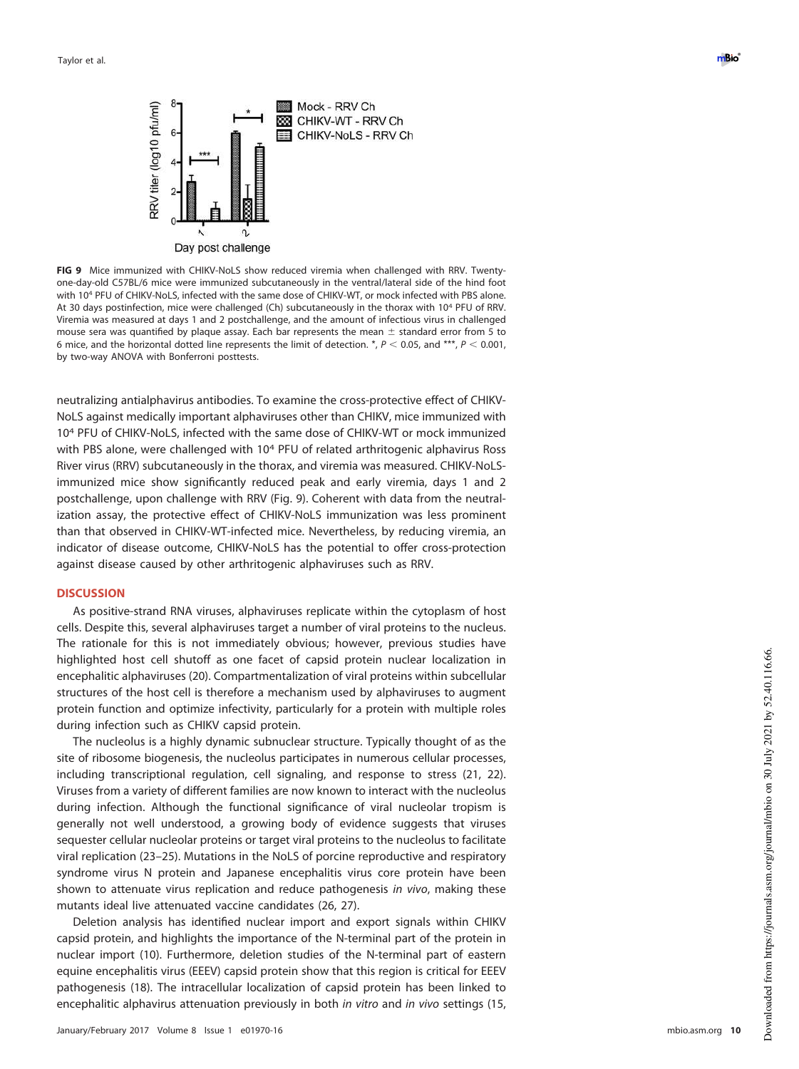

<span id="page-9-0"></span>**FIG 9** Mice immunized with CHIKV-NoLS show reduced viremia when challenged with RRV. Twentyone-day-old C57BL/6 mice were immunized subcutaneously in the ventral/lateral side of the hind foot with 10<sup>4</sup> PFU of CHIKV-NoLS, infected with the same dose of CHIKV-WT, or mock infected with PBS alone. At 30 days postinfection, mice were challenged (Ch) subcutaneously in the thorax with 10<sup>4</sup> PFU of RRV. Viremia was measured at days 1 and 2 postchallenge, and the amount of infectious virus in challenged mouse sera was quantified by plaque assay. Each bar represents the mean  $\pm$  standard error from 5 to 6 mice, and the horizontal dotted line represents the limit of detection.  $N, P \le 0.05$ , and \*\*\*,  $P \le 0.001$ , by two-way ANOVA with Bonferroni posttests.

neutralizing antialphavirus antibodies. To examine the cross-protective effect of CHIKV-NoLS against medically important alphaviruses other than CHIKV, mice immunized with 10<sup>4</sup> PFU of CHIKV-NoLS, infected with the same dose of CHIKV-WT or mock immunized with PBS alone, were challenged with 10<sup>4</sup> PFU of related arthritogenic alphavirus Ross River virus (RRV) subcutaneously in the thorax, and viremia was measured. CHIKV-NoLSimmunized mice show significantly reduced peak and early viremia, days 1 and 2 postchallenge, upon challenge with RRV [\(Fig. 9\)](#page-9-0). Coherent with data from the neutralization assay, the protective effect of CHIKV-NoLS immunization was less prominent than that observed in CHIKV-WT-infected mice. Nevertheless, by reducing viremia, an indicator of disease outcome, CHIKV-NoLS has the potential to offer cross-protection against disease caused by other arthritogenic alphaviruses such as RRV.

#### **DISCUSSION**

As positive-strand RNA viruses, alphaviruses replicate within the cytoplasm of host cells. Despite this, several alphaviruses target a number of viral proteins to the nucleus. The rationale for this is not immediately obvious; however, previous studies have highlighted host cell shutoff as one facet of capsid protein nuclear localization in encephalitic alphaviruses [\(20\)](#page-13-10). Compartmentalization of viral proteins within subcellular structures of the host cell is therefore a mechanism used by alphaviruses to augment protein function and optimize infectivity, particularly for a protein with multiple roles during infection such as CHIKV capsid protein.

The nucleolus is a highly dynamic subnuclear structure. Typically thought of as the site of ribosome biogenesis, the nucleolus participates in numerous cellular processes, including transcriptional regulation, cell signaling, and response to stress [\(21,](#page-13-11) [22\)](#page-13-12). Viruses from a variety of different families are now known to interact with the nucleolus during infection. Although the functional significance of viral nucleolar tropism is generally not well understood, a growing body of evidence suggests that viruses sequester cellular nucleolar proteins or target viral proteins to the nucleolus to facilitate viral replication [\(23](#page-13-13)[–](#page-13-14)[25\)](#page-13-15). Mutations in the NoLS of porcine reproductive and respiratory syndrome virus N protein and Japanese encephalitis virus core protein have been shown to attenuate virus replication and reduce pathogenesis in vivo, making these mutants ideal live attenuated vaccine candidates [\(26,](#page-13-16) [27\)](#page-13-17).

Deletion analysis has identified nuclear import and export signals within CHIKV capsid protein, and highlights the importance of the N-terminal part of the protein in nuclear import [\(10\)](#page-13-0). Furthermore, deletion studies of the N-terminal part of eastern equine encephalitis virus (EEEV) capsid protein show that this region is critical for EEEV pathogenesis [\(18\)](#page-13-8). The intracellular localization of capsid protein has been linked to encephalitic alphavirus attenuation previously in both in vitro and in vivo settings [\(15,](#page-13-5)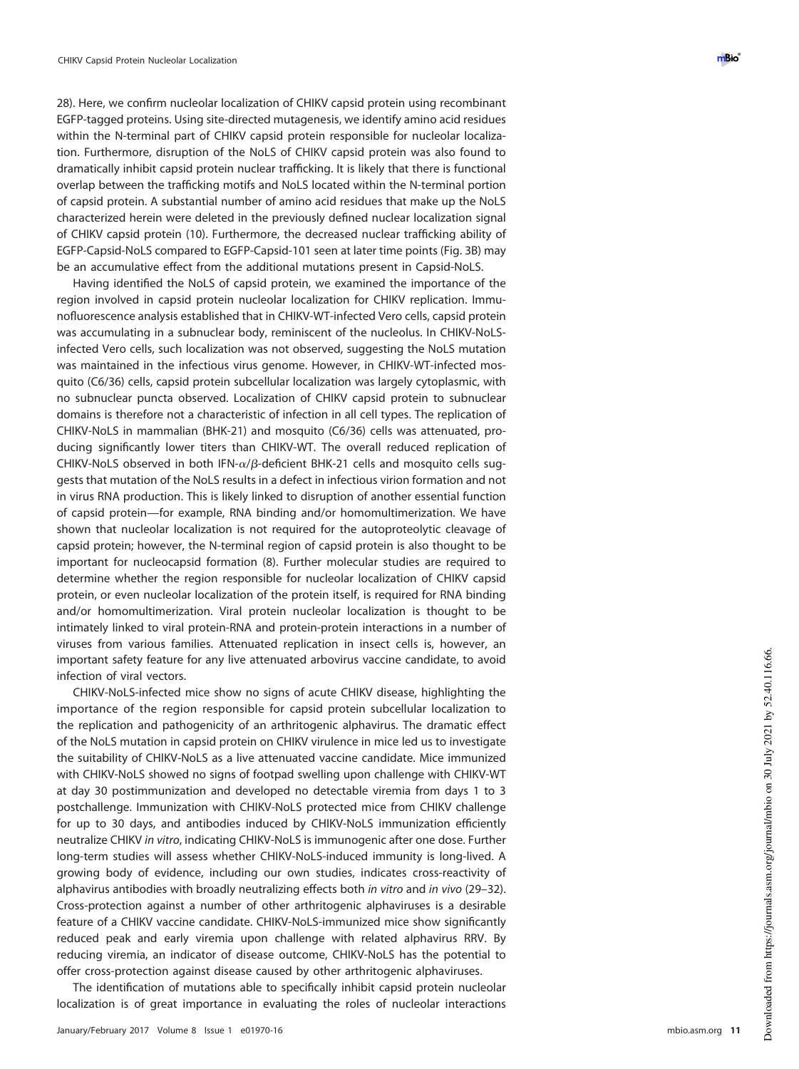[28\)](#page-13-18). Here, we confirm nucleolar localization of CHIKV capsid protein using recombinant EGFP-tagged proteins. Using site-directed mutagenesis, we identify amino acid residues within the N-terminal part of CHIKV capsid protein responsible for nucleolar localization. Furthermore, disruption of the NoLS of CHIKV capsid protein was also found to dramatically inhibit capsid protein nuclear trafficking. It is likely that there is functional overlap between the trafficking motifs and NoLS located within the N-terminal portion of capsid protein. A substantial number of amino acid residues that make up the NoLS characterized herein were deleted in the previously defined nuclear localization signal of CHIKV capsid protein [\(10\)](#page-13-0). Furthermore, the decreased nuclear trafficking ability of EGFP-Capsid-NoLS compared to EGFP-Capsid-101 seen at later time points [\(Fig. 3B\)](#page-4-0) may be an accumulative effect from the additional mutations present in Capsid-NoLS.

Having identified the NoLS of capsid protein, we examined the importance of the region involved in capsid protein nucleolar localization for CHIKV replication. Immunofluorescence analysis established that in CHIKV-WT-infected Vero cells, capsid protein was accumulating in a subnuclear body, reminiscent of the nucleolus. In CHIKV-NoLSinfected Vero cells, such localization was not observed, suggesting the NoLS mutation was maintained in the infectious virus genome. However, in CHIKV-WT-infected mosquito (C6/36) cells, capsid protein subcellular localization was largely cytoplasmic, with no subnuclear puncta observed. Localization of CHIKV capsid protein to subnuclear domains is therefore not a characteristic of infection in all cell types. The replication of CHIKV-NoLS in mammalian (BHK-21) and mosquito (C6/36) cells was attenuated, producing significantly lower titers than CHIKV-WT. The overall reduced replication of CHIKV-NoLS observed in both IFN- $\alpha/\beta$ -deficient BHK-21 cells and mosquito cells suggests that mutation of the NoLS results in a defect in infectious virion formation and not in virus RNA production. This is likely linked to disruption of another essential function of capsid protein—for example, RNA binding and/or homomultimerization. We have shown that nucleolar localization is not required for the autoproteolytic cleavage of capsid protein; however, the N-terminal region of capsid protein is also thought to be important for nucleocapsid formation [\(8\)](#page-12-7). Further molecular studies are required to determine whether the region responsible for nucleolar localization of CHIKV capsid protein, or even nucleolar localization of the protein itself, is required for RNA binding and/or homomultimerization. Viral protein nucleolar localization is thought to be intimately linked to viral protein-RNA and protein-protein interactions in a number of viruses from various families. Attenuated replication in insect cells is, however, an important safety feature for any live attenuated arbovirus vaccine candidate, to avoid infection of viral vectors.

CHIKV-NoLS-infected mice show no signs of acute CHIKV disease, highlighting the importance of the region responsible for capsid protein subcellular localization to the replication and pathogenicity of an arthritogenic alphavirus. The dramatic effect of the NoLS mutation in capsid protein on CHIKV virulence in mice led us to investigate the suitability of CHIKV-NoLS as a live attenuated vaccine candidate. Mice immunized with CHIKV-NoLS showed no signs of footpad swelling upon challenge with CHIKV-WT at day 30 postimmunization and developed no detectable viremia from days 1 to 3 postchallenge. Immunization with CHIKV-NoLS protected mice from CHIKV challenge for up to 30 days, and antibodies induced by CHIKV-NoLS immunization efficiently neutralize CHIKV in vitro, indicating CHIKV-NoLS is immunogenic after one dose. Further long-term studies will assess whether CHIKV-NoLS-induced immunity is long-lived. A growing body of evidence, including our own studies, indicates cross-reactivity of alphavirus antibodies with broadly neutralizing effects both in vitro and in vivo [\(29](#page-13-19)[–](#page-13-20)[32\)](#page-13-21). Cross-protection against a number of other arthritogenic alphaviruses is a desirable feature of a CHIKV vaccine candidate. CHIKV-NoLS-immunized mice show significantly reduced peak and early viremia upon challenge with related alphavirus RRV. By reducing viremia, an indicator of disease outcome, CHIKV-NoLS has the potential to offer cross-protection against disease caused by other arthritogenic alphaviruses.

The identification of mutations able to specifically inhibit capsid protein nucleolar localization is of great importance in evaluating the roles of nucleolar interactions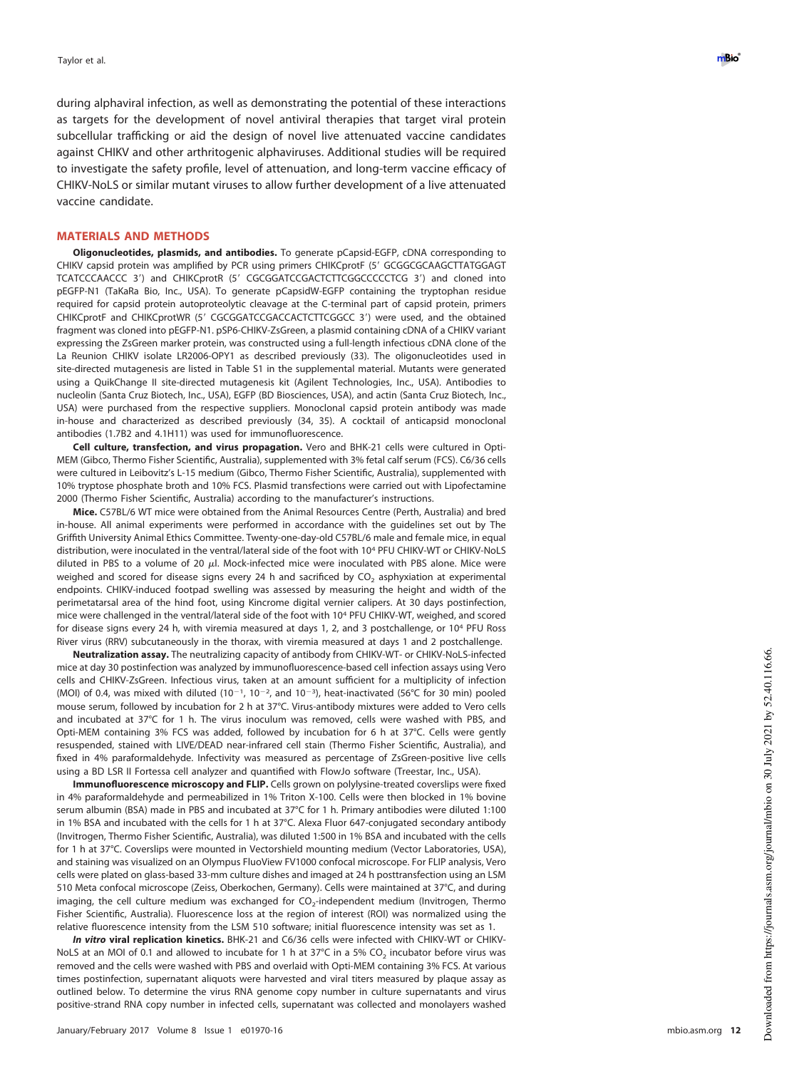during alphaviral infection, as well as demonstrating the potential of these interactions as targets for the development of novel antiviral therapies that target viral protein subcellular trafficking or aid the design of novel live attenuated vaccine candidates against CHIKV and other arthritogenic alphaviruses. Additional studies will be required to investigate the safety profile, level of attenuation, and long-term vaccine efficacy of CHIKV-NoLS or similar mutant viruses to allow further development of a live attenuated vaccine candidate.

#### **MATERIALS AND METHODS**

**Oligonucleotides, plasmids, and antibodies.** To generate pCapsid-EGFP, cDNA corresponding to CHIKV capsid protein was amplified by PCR using primers CHIKCprotF (5' GCGGCGCAAGCTTATGGAGT TCATCCCAACCC 3') and CHIKCprotR (5' CGCGGATCCGACTCTTCGGCCCCCTCG 3') and cloned into pEGFP-N1 (TaKaRa Bio, Inc., USA). To generate pCapsidW-EGFP containing the tryptophan residue required for capsid protein autoproteolytic cleavage at the C-terminal part of capsid protein, primers CHIKCprotF and CHIKCprotWR (5' CGCGGATCCGACCACTCTTCGGCC 3') were used, and the obtained fragment was cloned into pEGFP-N1. pSP6-CHIKV-ZsGreen, a plasmid containing cDNA of a CHIKV variant expressing the ZsGreen marker protein, was constructed using a full-length infectious cDNA clone of the La Reunion CHIKV isolate LR2006-OPY1 as described previously [\(33\)](#page-13-22). The oligonucleotides used in site-directed mutagenesis are listed in Table S1 in the supplemental material. Mutants were generated using a QuikChange II site-directed mutagenesis kit (Agilent Technologies, Inc., USA). Antibodies to nucleolin (Santa Cruz Biotech, Inc., USA), EGFP (BD Biosciences, USA), and actin (Santa Cruz Biotech, Inc., USA) were purchased from the respective suppliers. Monoclonal capsid protein antibody was made in-house and characterized as described previously [\(34,](#page-13-23) [35\)](#page-13-24). A cocktail of anticapsid monoclonal antibodies (1.7B2 and 4.1H11) was used for immunofluorescence.

**Cell culture, transfection, and virus propagation.** Vero and BHK-21 cells were cultured in Opti-MEM (Gibco, Thermo Fisher Scientific, Australia), supplemented with 3% fetal calf serum (FCS). C6/36 cells were cultured in Leibovitz's L-15 medium (Gibco, Thermo Fisher Scientific, Australia), supplemented with 10% tryptose phosphate broth and 10% FCS. Plasmid transfections were carried out with Lipofectamine 2000 (Thermo Fisher Scientific, Australia) according to the manufacturer's instructions.

**Mice.** C57BL/6 WT mice were obtained from the Animal Resources Centre (Perth, Australia) and bred in-house. All animal experiments were performed in accordance with the guidelines set out by The Griffith University Animal Ethics Committee. Twenty-one-day-old C57BL/6 male and female mice, in equal distribution, were inoculated in the ventral/lateral side of the foot with 10 <sup>4</sup> PFU CHIKV-WT or CHIKV-NoLS diluted in PBS to a volume of 20  $\mu$ l. Mock-infected mice were inoculated with PBS alone. Mice were weighed and scored for disease signs every 24 h and sacrificed by CO<sub>2</sub> asphyxiation at experimental endpoints. CHIKV-induced footpad swelling was assessed by measuring the height and width of the perimetatarsal area of the hind foot, using Kincrome digital vernier calipers. At 30 days postinfection, mice were challenged in the ventral/lateral side of the foot with 10 <sup>4</sup> PFU CHIKV-WT, weighed, and scored for disease signs every 24 h, with viremia measured at days 1, 2, and 3 postchallenge, or 10<sup>4</sup> PFU Ross River virus (RRV) subcutaneously in the thorax, with viremia measured at days 1 and 2 postchallenge.

**Neutralization assay.** The neutralizing capacity of antibody from CHIKV-WT- or CHIKV-NoLS-infected mice at day 30 postinfection was analyzed by immunofluorescence-based cell infection assays using Vero cells and CHIKV-ZsGreen. Infectious virus, taken at an amount sufficient for a multiplicity of infection (MOI) of 0.4, was mixed with diluted (10<sup>-1</sup>, 10<sup>-2</sup>, and 10<sup>-3</sup>), heat-inactivated (56°C for 30 min) pooled mouse serum, followed by incubation for 2 h at 37°C. Virus-antibody mixtures were added to Vero cells and incubated at 37°C for 1 h. The virus inoculum was removed, cells were washed with PBS, and Opti-MEM containing 3% FCS was added, followed by incubation for 6 h at 37°C. Cells were gently resuspended, stained with LIVE/DEAD near-infrared cell stain (Thermo Fisher Scientific, Australia), and fixed in 4% paraformaldehyde. Infectivity was measured as percentage of ZsGreen-positive live cells using a BD LSR II Fortessa cell analyzer and quantified with FlowJo software (Treestar, Inc., USA).

**Immunofluorescence microscopy and FLIP.** Cells grown on polylysine-treated coverslips were fixed in 4% paraformaldehyde and permeabilized in 1% Triton X-100. Cells were then blocked in 1% bovine serum albumin (BSA) made in PBS and incubated at 37°C for 1 h. Primary antibodies were diluted 1:100 in 1% BSA and incubated with the cells for 1 h at 37°C. Alexa Fluor 647-conjugated secondary antibody (Invitrogen, Thermo Fisher Scientific, Australia), was diluted 1:500 in 1% BSA and incubated with the cells for 1 h at 37°C. Coverslips were mounted in Vectorshield mounting medium (Vector Laboratories, USA), and staining was visualized on an Olympus FluoView FV1000 confocal microscope. For FLIP analysis, Vero cells were plated on glass-based 33-mm culture dishes and imaged at 24 h posttransfection using an LSM 510 Meta confocal microscope (Zeiss, Oberkochen, Germany). Cells were maintained at 37°C, and during imaging, the cell culture medium was exchanged for  $\text{CO}_2\text{-}$ independent medium (Invitrogen, Thermo Fisher Scientific, Australia). Fluorescence loss at the region of interest (ROI) was normalized using the relative fluorescence intensity from the LSM 510 software; initial fluorescence intensity was set as 1.

**In vitro viral replication kinetics.** BHK-21 and C6/36 cells were infected with CHIKV-WT or CHIKV-NoLS at an MOI of 0.1 and allowed to incubate for 1 h at 37°C in a 5%  $CO_2$  incubator before virus was removed and the cells were washed with PBS and overlaid with Opti-MEM containing 3% FCS. At various times postinfection, supernatant aliquots were harvested and viral titers measured by plaque assay as outlined below. To determine the virus RNA genome copy number in culture supernatants and virus positive-strand RNA copy number in infected cells, supernatant was collected and monolayers washed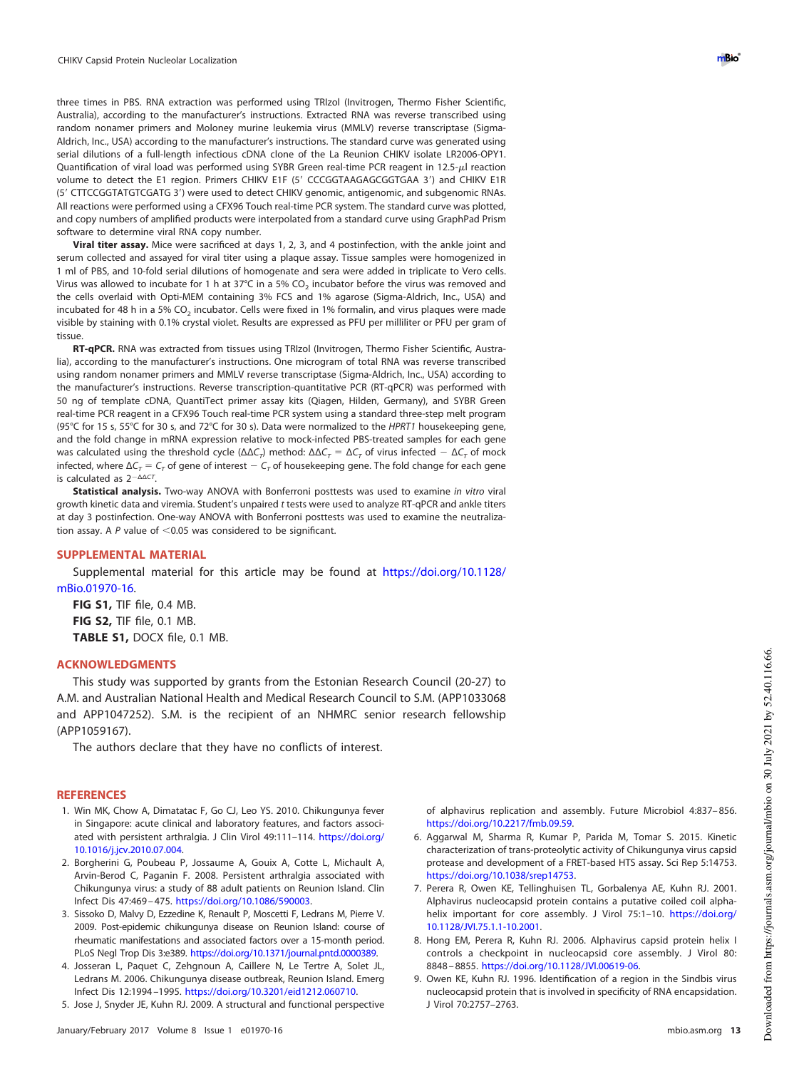three times in PBS. RNA extraction was performed using TRIzol (Invitrogen, Thermo Fisher Scientific, Australia), according to the manufacturer's instructions. Extracted RNA was reverse transcribed using random nonamer primers and Moloney murine leukemia virus (MMLV) reverse transcriptase (Sigma-Aldrich, Inc., USA) according to the manufacturer's instructions. The standard curve was generated using serial dilutions of a full-length infectious cDNA clone of the La Reunion CHIKV isolate LR2006-OPY1. Quantification of viral load was performed using SYBR Green real-time PCR reagent in 12.5- $\mu$ l reaction volume to detect the E1 region. Primers CHIKV E1F (5' CCCGGTAAGAGCGGTGAA 3') and CHIKV E1R (5' CTTCCGGTATGTCGATG 3') were used to detect CHIKV genomic, antigenomic, and subgenomic RNAs. All reactions were performed using a CFX96 Touch real-time PCR system. The standard curve was plotted, and copy numbers of amplified products were interpolated from a standard curve using GraphPad Prism software to determine viral RNA copy number.

**Viral titer assay.** Mice were sacrificed at days 1, 2, 3, and 4 postinfection, with the ankle joint and serum collected and assayed for viral titer using a plaque assay. Tissue samples were homogenized in 1 ml of PBS, and 10-fold serial dilutions of homogenate and sera were added in triplicate to Vero cells. Virus was allowed to incubate for 1 h at 37°C in a 5% CO $_2$  incubator before the virus was removed and the cells overlaid with Opti-MEM containing 3% FCS and 1% agarose (Sigma-Aldrich, Inc., USA) and incubated for 48 h in a 5% CO<sub>2</sub> incubator. Cells were fixed in 1% formalin, and virus plaques were made visible by staining with 0.1% crystal violet. Results are expressed as PFU per milliliter or PFU per gram of tissue.

**RT-qPCR.** RNA was extracted from tissues using TRIzol (Invitrogen, Thermo Fisher Scientific, Australia), according to the manufacturer's instructions. One microgram of total RNA was reverse transcribed using random nonamer primers and MMLV reverse transcriptase (Sigma-Aldrich, Inc., USA) according to the manufacturer's instructions. Reverse transcription-quantitative PCR (RT-qPCR) was performed with 50 ng of template cDNA, QuantiTect primer assay kits (Qiagen, Hilden, Germany), and SYBR Green real-time PCR reagent in a CFX96 Touch real-time PCR system using a standard three-step melt program (95°C for 15 s, 55°C for 30 s, and 72°C for 30 s). Data were normalized to the HPRT1 housekeeping gene, and the fold change in mRNA expression relative to mock-infected PBS-treated samples for each gene was calculated using the threshold cycle (ΔΔC<sub>T</sub>) method:  $\Delta\Delta C_T = \Delta C_T$  of virus infected  $-\Delta C_T$  of mock infected, where  $\Delta C_{\tau} = C_{\tau}$  of gene of interest  $-C_{\tau}$  of housekeeping gene. The fold change for each gene is calculated as  $2^{-\Delta\Delta CI}$ .

**Statistical analysis.** Two-way ANOVA with Bonferroni posttests was used to examine in vitro viral growth kinetic data and viremia. Student's unpaired t tests were used to analyze RT-qPCR and ankle titers at day 3 postinfection. One-way ANOVA with Bonferroni posttests was used to examine the neutralization assay. A  $P$  value of  $\leq$  0.05 was considered to be significant.

#### **SUPPLEMENTAL MATERIAL**

Supplemental material for this article may be found at https://doi.org/10.1128/ mBio.01970-16.

**FIG S1,** TIF file, 0.4 MB. **FIG S2,** TIF file, 0.1 MB. **TABLE S1,** DOCX file, 0.1 MB.

### **ACKNOWLEDGMENTS**

This study was supported by grants from the Estonian Research Council (20-27) to A.M. and Australian National Health and Medical Research Council to S.M. (APP1033068 and APP1047252). S.M. is the recipient of an NHMRC senior research fellowship (APP1059167).

The authors declare that they have no conflicts of interest.

## <span id="page-12-0"></span>**REFERENCES**

- 1. Win MK, Chow A, Dimatatac F, Go CJ, Leo YS. 2010. Chikungunya fever in Singapore: acute clinical and laboratory features, and factors associated with persistent arthralgia. J Clin Virol 49:111–114. https://doi.org/ 10.1016/j.jcv.2010.07.004.
- <span id="page-12-1"></span>2. Borgherini G, Poubeau P, Jossaume A, Gouix A, Cotte L, Michault A, Arvin-Berod C, Paganin F. 2008. Persistent arthralgia associated with Chikungunya virus: a study of 88 adult patients on Reunion Island. Clin Infect Dis 47:469 – 475. https://doi.org/10.1086/590003.
- <span id="page-12-2"></span>3. Sissoko D, Malvy D, Ezzedine K, Renault P, Moscetti F, Ledrans M, Pierre V. 2009. Post-epidemic chikungunya disease on Reunion Island: course of rheumatic manifestations and associated factors over a 15-month period. PLoS Negl Trop Dis 3:e389. https://doi.org/10.1371/journal.pntd.0000389.
- <span id="page-12-4"></span><span id="page-12-3"></span>4. Josseran L, Paquet C, Zehgnoun A, Caillere N, Le Tertre A, Solet JL, Ledrans M. 2006. Chikungunya disease outbreak, Reunion Island. Emerg Infect Dis 12:1994 –1995. https://doi.org/10.3201/eid1212.060710.
- 5. Jose J, Snyder JE, Kuhn RJ. 2009. A structural and functional perspective

of alphavirus replication and assembly. Future Microbiol 4:837– 856. https://doi.org/10.2217/fmb.09.59.

- <span id="page-12-5"></span>6. Aggarwal M, Sharma R, Kumar P, Parida M, Tomar S. 2015. Kinetic characterization of trans-proteolytic activity of Chikungunya virus capsid protease and development of a FRET-based HTS assay. Sci Rep 5:14753. https://doi.org/10.1038/srep14753.
- <span id="page-12-6"></span>7. Perera R, Owen KE, Tellinghuisen TL, Gorbalenya AE, Kuhn RJ. 2001. Alphavirus nucleocapsid protein contains a putative coiled coil alphahelix important for core assembly. J Virol 75:1-10. https://doi.org/ 10.1128/JVI.75.1.1-10.2001.
- <span id="page-12-8"></span><span id="page-12-7"></span>8. Hong EM, Perera R, Kuhn RJ. 2006. Alphavirus capsid protein helix I controls a checkpoint in nucleocapsid core assembly. J Virol 80: 8848 – 8855. https://doi.org/10.1128/JVI.00619-06.
- 9. Owen KE, Kuhn RJ. 1996. Identification of a region in the Sindbis virus nucleocapsid protein that is involved in specificity of RNA encapsidation. J Virol 70:2757–2763.